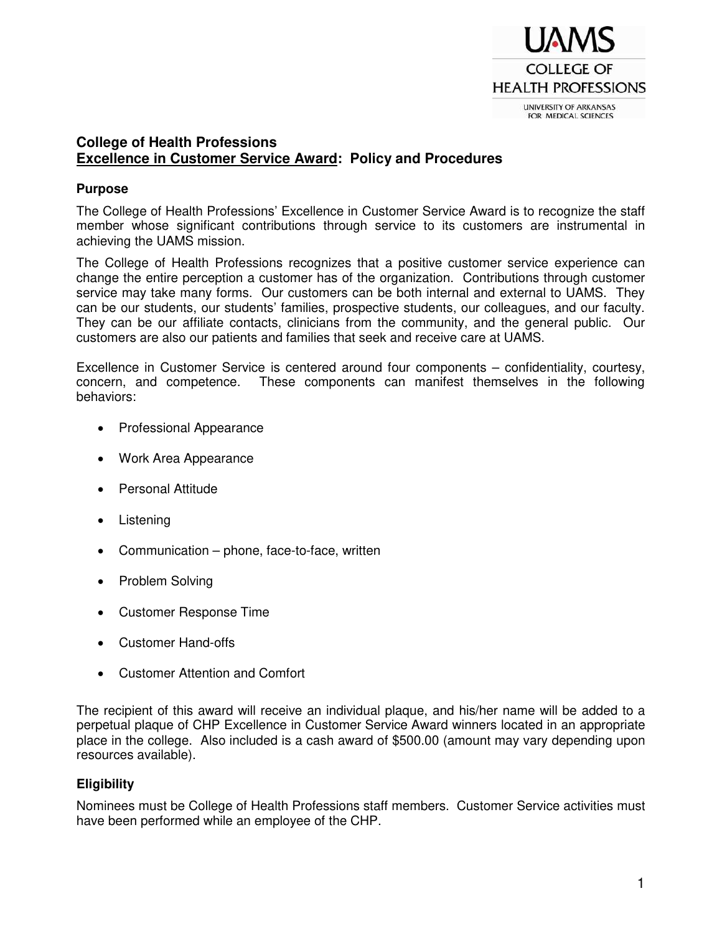

# **College of Health Professions Excellence in Customer Service Award: Policy and Procedures**

## **Purpose**

The College of Health Professions' Excellence in Customer Service Award is to recognize the staff member whose significant contributions through service to its customers are instrumental in achieving the UAMS mission.

The College of Health Professions recognizes that a positive customer service experience can change the entire perception a customer has of the organization. Contributions through customer service may take many forms. Our customers can be both internal and external to UAMS. They can be our students, our students' families, prospective students, our colleagues, and our faculty. They can be our affiliate contacts, clinicians from the community, and the general public. Our customers are also our patients and families that seek and receive care at UAMS.

Excellence in Customer Service is centered around four components – confidentiality, courtesy, concern, and competence. These components can manifest themselves in the following behaviors:

- Professional Appearance
- Work Area Appearance
- Personal Attitude
- Listening
- Communication phone, face-to-face, written
- Problem Solving
- Customer Response Time
- Customer Hand-offs
- Customer Attention and Comfort

The recipient of this award will receive an individual plaque, and his/her name will be added to a perpetual plaque of CHP Excellence in Customer Service Award winners located in an appropriate place in the college. Also included is a cash award of \$500.00 (amount may vary depending upon resources available).

## **Eligibility**

Nominees must be College of Health Professions staff members. Customer Service activities must have been performed while an employee of the CHP.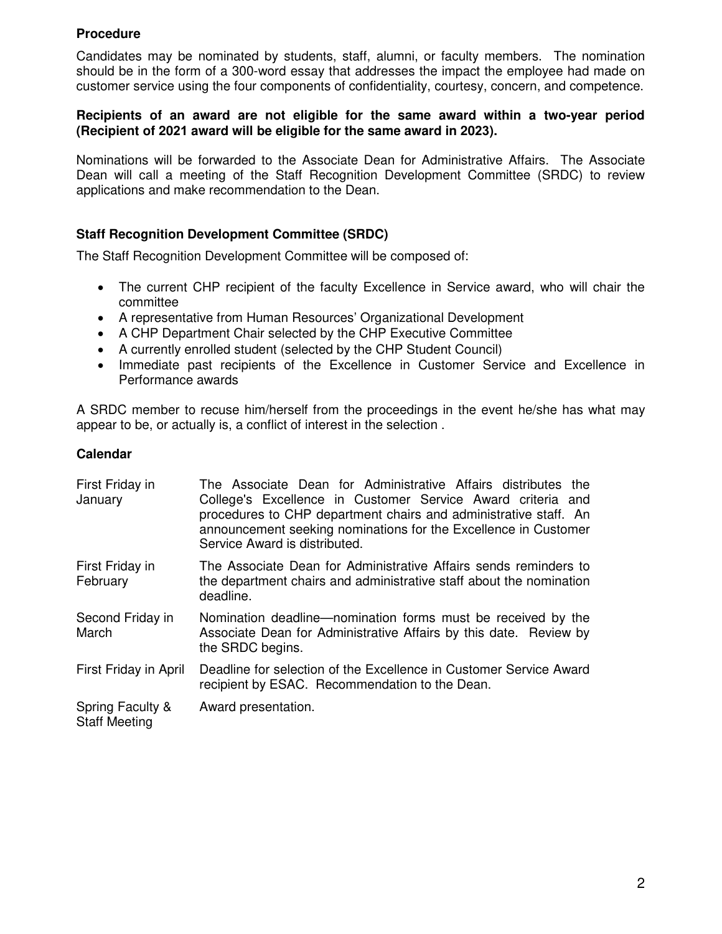## **Procedure**

Candidates may be nominated by students, staff, alumni, or faculty members. The nomination should be in the form of a 300-word essay that addresses the impact the employee had made on customer service using the four components of confidentiality, courtesy, concern, and competence.

#### **Recipients of an award are not eligible for the same award within a two-year period (Recipient of 2021 award will be eligible for the same award in 2023).**

Nominations will be forwarded to the Associate Dean for Administrative Affairs. The Associate Dean will call a meeting of the Staff Recognition Development Committee (SRDC) to review applications and make recommendation to the Dean.

## **Staff Recognition Development Committee (SRDC)**

The Staff Recognition Development Committee will be composed of:

- The current CHP recipient of the faculty Excellence in Service award, who will chair the committee
- A representative from Human Resources' Organizational Development
- A CHP Department Chair selected by the CHP Executive Committee
- A currently enrolled student (selected by the CHP Student Council)
- Immediate past recipients of the Excellence in Customer Service and Excellence in Performance awards

A SRDC member to recuse him/herself from the proceedings in the event he/she has what may appear to be, or actually is, a conflict of interest in the selection .

## **Calendar**

| First Friday in<br>January               | The Associate Dean for Administrative Affairs distributes the<br>College's Excellence in Customer Service Award criteria and<br>procedures to CHP department chairs and administrative staff. An<br>announcement seeking nominations for the Excellence in Customer<br>Service Award is distributed. |
|------------------------------------------|------------------------------------------------------------------------------------------------------------------------------------------------------------------------------------------------------------------------------------------------------------------------------------------------------|
| First Friday in<br>February              | The Associate Dean for Administrative Affairs sends reminders to<br>the department chairs and administrative staff about the nomination<br>deadline.                                                                                                                                                 |
| Second Friday in<br>March                | Nomination deadline—nomination forms must be received by the<br>Associate Dean for Administrative Affairs by this date. Review by<br>the SRDC begins.                                                                                                                                                |
| First Friday in April                    | Deadline for selection of the Excellence in Customer Service Award<br>recipient by ESAC. Recommendation to the Dean.                                                                                                                                                                                 |
| Spring Faculty &<br><b>Staff Meeting</b> | Award presentation.                                                                                                                                                                                                                                                                                  |